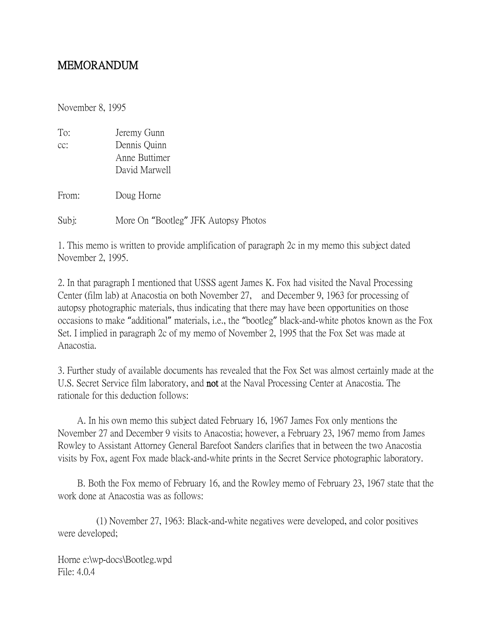## MEMORANDUM

November 8, 1995

| To:   | Jeremy Gunn   |
|-------|---------------|
| cc:   | Dennis Quinn  |
|       | Anne Buttimer |
|       | David Marwell |
|       |               |
| From: | Doug Horne    |
|       |               |

Subj: More On "Bootleg" JFK Autopsy Photos

1. This memo is written to provide amplification of paragraph 2c in my memo this subject dated November 2, 1995.

2. In that paragraph I mentioned that USSS agent James K. Fox had visited the Naval Processing Center (film lab) at Anacostia on both November 27, and December 9, 1963 for processing of autopsy photographic materials, thus indicating that there may have been opportunities on those occasions to make "additional" materials, i.e., the "bootleg" black-and-white photos known as the Fox Set. I implied in paragraph 2c of my memo of November 2, 1995 that the Fox Set was made at Anacostia.

3. Further study of available documents has revealed that the Fox Set was almost certainly made at the U.S. Secret Service film laboratory, and not at the Naval Processing Center at Anacostia. The rationale for this deduction follows:

 A. In his own memo this subject dated February 16, 1967 James Fox only mentions the November 27 and December 9 visits to Anacostia; however, a February 23, 1967 memo from James Rowley to Assistant Attorney General Barefoot Sanders clarifies that in between the two Anacostia visits by Fox, agent Fox made black-and-white prints in the Secret Service photographic laboratory.

 B. Both the Fox memo of February 16, and the Rowley memo of February 23, 1967 state that the work done at Anacostia was as follows:

 (1) November 27, 1963: Black-and-white negatives were developed, and color positives were developed;

Horne e:\wp-docs\Bootleg.wpd File: 4.0.4